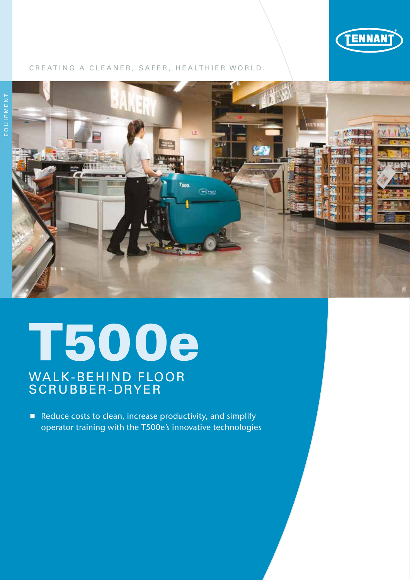

### CREATING A CLEANER, SAFER, HEALTHIER WORLD.



## T500e

## WALK-BEHIND FLOOR SCRUBBER-DRYER

Reduce costs to clean, increase productivity, and simplify operator training with the T500e's innovative technologies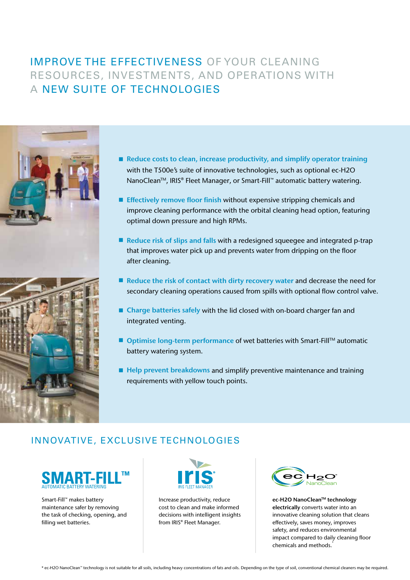## IMPROVE THE EFFECTIVENESS OF YOUR CLEANING RESOURCES, INVESTMENTS, AND OPERATIONS WITH A NEW SUITE OF TECHNOLOGIES





- Reduce costs to clean, increase productivity, and simplify operator training with the T500e's suite of innovative technologies, such as optional ec-H2O NanoClean<sup>™</sup>, IRIS® Fleet Manager, or Smart-Fill™ automatic battery watering.
- **Effectively remove floor finish without expensive stripping chemicals and** improve cleaning performance with the orbital cleaning head option, featuring optimal down pressure and high RPMs.
- Reduce risk of slips and falls with a redesigned squeegee and integrated p-trap that improves water pick up and prevents water from dripping on the floor after cleaning.
- $\blacksquare$  Reduce the risk of contact with dirty recovery water and decrease the need for secondary cleaning operations caused from spills with optional flow control valve.
- Charge batteries safely with the lid closed with on-board charger fan and integrated venting.
- Optimise long-term performance of wet batteries with Smart-Fill<sup>™</sup> automatic battery watering system.
- Help prevent breakdowns and simplify preventive maintenance and training requirements with yellow touch points.

## INNOVATIVE, EXCLUSIVE TECHNOLOGIES



Smart-Fill™ makes battery maintenance safer by removing the task of checking, opening, and filling wet batteries.



Increase productivity, reduce cost to clean and make informed decisions with intelligent insights from IRIS® Fleet Manager.



ec-H2O NanoClean™ technology electrically converts water into an innovative cleaning solution that cleans effectively, saves money, improves safety, and reduces environmental impact compared to daily cleaning floor chemicals and methods.\*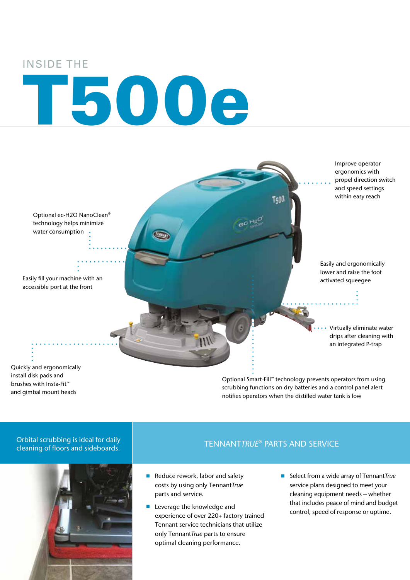### INSIDE THE

# T500e



scrubbing functions on dry batteries and a control panel alert notifies operators when the distilled water tank is low

### Orbital scrubbing is ideal for daily cleaning of floors and sideboards.

and gimbal mount heads



### TENNANT*TRUE*® PARTS AND SERVICE

- Reduce rework, labor and safety costs by using only Tennant*True* parts and service.
- **Leverage the knowledge and** experience of over 220+ factory trained Tennant service technicians that utilize only Tennant*True* parts to ensure optimal cleaning performance.
- Select from a wide array of Tennant*True* service plans designed to meet your cleaning equipment needs – whether that includes peace of mind and budget control, speed of response or uptime.